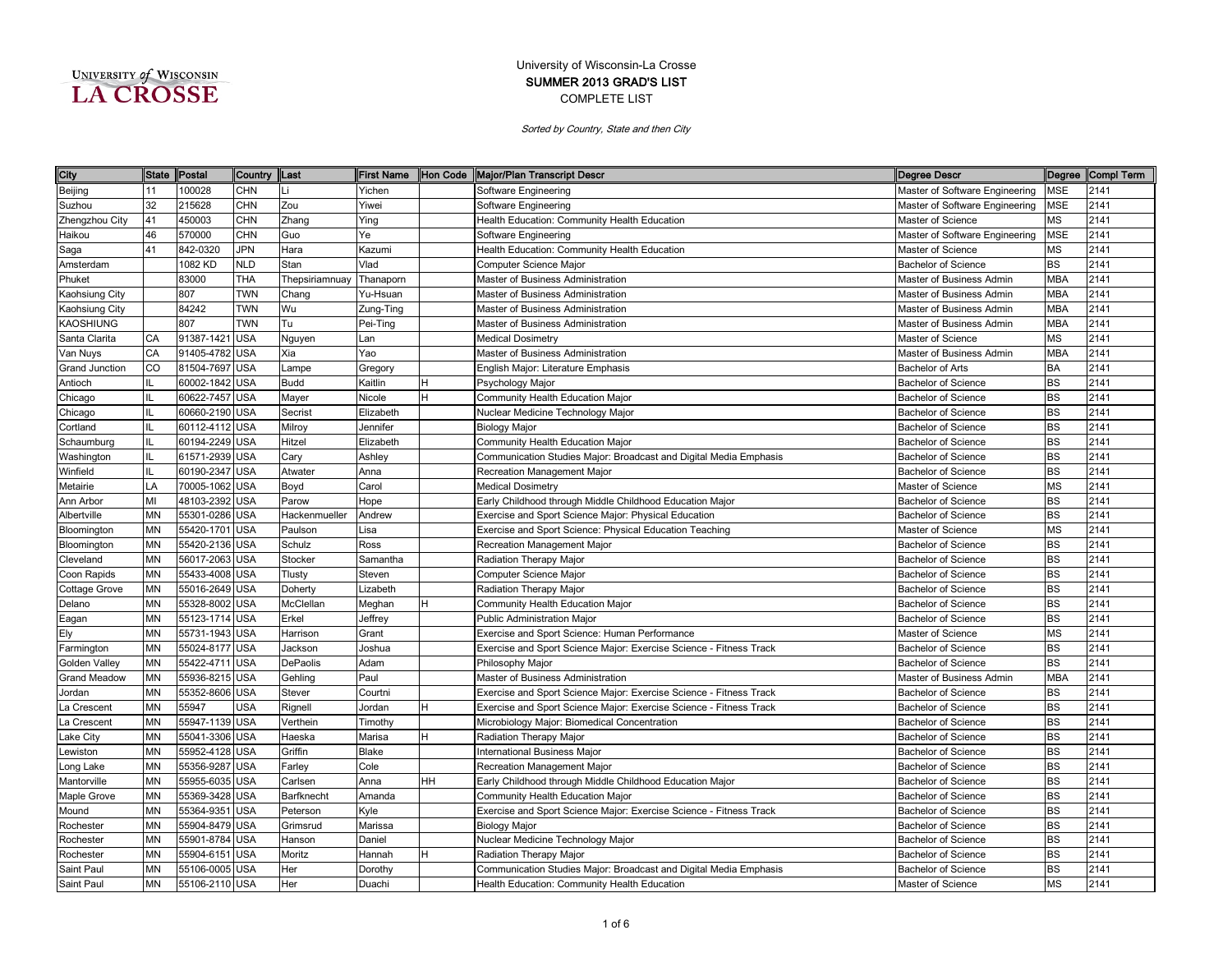| UNIVERSITY of WISCONSIN |
|-------------------------|
| <b>LA CROSSE</b>        |

| City                |           | State Postal   | Country    | <b>ILast</b>   | <b>First Name</b> |    | Hon Code Major/Plan Transcript Descr                               | Degree Descr                   |            | Degree Compl Term |
|---------------------|-----------|----------------|------------|----------------|-------------------|----|--------------------------------------------------------------------|--------------------------------|------------|-------------------|
| Beijing             | 11        | 100028         | CHN        |                | Yichen            |    | Software Engineering                                               | Master of Software Engineering | MSE        | 2141              |
| Suzhou              | 32        | 215628         | CHN        | Zou            | Yiwei             |    | Software Engineering                                               | Master of Software Engineering | MSE        | 2141              |
| Zhengzhou City      | 41        | 450003         | <b>CHN</b> | Zhang          | Ying              |    | Health Education: Community Health Education                       | Master of Science              | <b>MS</b>  | 2141              |
| Haikou              | 46        | 570000         | <b>CHN</b> | Guo            | Ye                |    | Software Engineering                                               | Master of Software Engineering | <b>MSE</b> | 2141              |
| Saga                | 41        | 842-0320       | JPN        | Hara           | Kazumi            |    | Health Education: Community Health Education                       | Master of Science              | MS         | 2141              |
| Amsterdam           |           | 1082 KD        | <b>NLD</b> | Stan           | Vlad              |    | Computer Science Major                                             | <b>Bachelor of Science</b>     | <b>BS</b>  | 2141              |
| Phuket              |           | 83000          | <b>THA</b> | Thepsiriamnuay | Thanaporn         |    | Master of Business Administration                                  | Master of Business Admin       | <b>MBA</b> | 2141              |
| Kaohsiung City      |           | 807            | <b>TWN</b> | Chang          | Yu-Hsuan          |    | Master of Business Administration                                  | Master of Business Admin       | <b>MBA</b> | 2141              |
| Kaohsiung City      |           | 84242          | <b>TWN</b> | Wu             | Zung-Ting         |    | Master of Business Administration                                  | Master of Business Admin       | <b>MBA</b> | 2141              |
| <b>KAOSHIUNG</b>    |           | 807            | <b>TWN</b> | Tu             | Pei-Ting          |    | Master of Business Administration                                  | Master of Business Admin       | <b>MBA</b> | 2141              |
| Santa Clarita       | CA        | 91387-1421     | <b>USA</b> | Nguyen         | Lan               |    | <b>Medical Dosimetry</b>                                           | Master of Science              | <b>MS</b>  | 2141              |
| Van Nuys            | CA        | 91405-4782     | <b>USA</b> | Xia            | Yao               |    | Master of Business Administration                                  | Master of Business Admin       | <b>MBA</b> | 2141              |
| Grand Junction      | CO        | 81504-7697     | <b>USA</b> | Lampe          | Gregory           |    | English Major: Literature Emphasis                                 | <b>Bachelor of Arts</b>        | BA         | 2141              |
| Antioch             | IL        | 60002-1842 USA |            | <b>Budd</b>    | Kaitlin           | н  | Psychology Major                                                   | <b>Bachelor of Science</b>     | <b>BS</b>  | 2141              |
| Chicago             | IL        | 60622-7457 USA |            | Mayer          | Nicole            | н  | Community Health Education Major                                   | <b>Bachelor of Science</b>     | <b>BS</b>  | 2141              |
| Chicago             | IL        | 60660-2190 USA |            | Secrist        | Elizabeth         |    | Nuclear Medicine Technology Major                                  | <b>Bachelor of Science</b>     | <b>BS</b>  | 2141              |
| Cortland            | IL        | 60112-4112 USA |            | Milroy         | Jennifer          |    | <b>Biology Major</b>                                               | <b>Bachelor of Science</b>     | <b>BS</b>  | 2141              |
| Schaumburg          | IL        | 60194-2249 USA |            | Hitzel         | Elizabeth         |    | Community Health Education Major                                   | <b>Bachelor of Science</b>     | <b>BS</b>  | 2141              |
| Washington          | IL        | 61571-2939     | <b>USA</b> | Cary           | Ashley            |    | Communication Studies Major: Broadcast and Digital Media Emphasis  | <b>Bachelor of Science</b>     | <b>BS</b>  | 2141              |
| Winfield            | IL        | 60190-2347     | <b>USA</b> | Atwater        | Anna              |    | Recreation Management Major                                        | <b>Bachelor of Science</b>     | BS         | 2141              |
| Metairie            | LA        | 70005-1062     | <b>USA</b> | Boyd           | Carol             |    | <b>Medical Dosimetry</b>                                           | Master of Science              | <b>MS</b>  | 2141              |
| Ann Arbor           | MI        | 48103-2392     | <b>USA</b> | Parow          | Hope              |    | Early Childhood through Middle Childhood Education Major           | Bachelor of Science            | BS         | 2141              |
| Albertville         | <b>MN</b> | 55301-0286 USA |            | Hackenmueller  | Andrew            |    | Exercise and Sport Science Major: Physical Education               | <b>Bachelor of Science</b>     | <b>BS</b>  | 2141              |
| Bloomington         | <b>MN</b> | 55420-1701 USA |            | Paulson        | Lisa              |    | Exercise and Sport Science: Physical Education Teaching            | Master of Science              | <b>MS</b>  | 2141              |
| Bloomington         | <b>MN</b> | 55420-2136 USA |            | Schulz         | Ross              |    | Recreation Management Major                                        | <b>Bachelor of Science</b>     | <b>BS</b>  | 2141              |
| Cleveland           | <b>MN</b> | 56017-2063 USA |            | Stocker        | Samantha          |    | Radiation Therapy Major                                            | <b>Bachelor of Science</b>     | <b>BS</b>  | 2141              |
| Coon Rapids         | <b>MN</b> | 55433-4008 USA |            | Tlusty         | Steven            |    | Computer Science Major                                             | <b>Bachelor of Science</b>     | <b>BS</b>  | 2141              |
| Cottage Grove       | <b>MN</b> | 55016-2649 USA |            | Doherty        | Lizabeth          |    | Radiation Therapy Major                                            | <b>Bachelor of Science</b>     | <b>BS</b>  | 2141              |
| Delano              | <b>MN</b> | 55328-8002 USA |            | McClellan      | Meghan            | Η  | Community Health Education Major                                   | <b>Bachelor of Science</b>     | <b>BS</b>  | 2141              |
| Eagan               | MN        | 55123-1714     | USA        | Erkel          | Jeffrey           |    | Public Administration Major                                        | <b>Bachelor of Science</b>     | <b>BS</b>  | 2141              |
| Ely                 | <b>MN</b> | 55731-1943     | <b>USA</b> | Harrison       | Grant             |    | Exercise and Sport Science: Human Performance                      | Master of Science              | <b>MS</b>  | 2141              |
| Farmington          | <b>MN</b> | 55024-8177     | <b>USA</b> | Jackson        | Joshua            |    | Exercise and Sport Science Major: Exercise Science - Fitness Track | <b>Bachelor of Science</b>     | <b>BS</b>  | 2141              |
| Golden Valley       | <b>MN</b> | 55422-4711     | <b>USA</b> | DePaolis       | Adam              |    | Philosophy Major                                                   | <b>Bachelor of Science</b>     | <b>BS</b>  | 2141              |
| <b>Grand Meadow</b> | <b>MN</b> | 55936-8215     | <b>USA</b> | Gehling        | Paul              |    | Master of Business Administration                                  | Master of Business Admin       | <b>MBA</b> | 2141              |
| Jordan              | <b>MN</b> | 55352-8606     | <b>USA</b> | Stever         | Courtni           |    | Exercise and Sport Science Major: Exercise Science - Fitness Track | <b>Bachelor of Science</b>     | <b>BS</b>  | 2141              |
| La Crescent         | <b>MN</b> | 55947          | USA        | Rignell        | Jordan            | н  | Exercise and Sport Science Major: Exercise Science - Fitness Track | <b>Bachelor of Science</b>     | <b>BS</b>  | 2141              |
| a Crescent          | <b>MN</b> | 55947-1139 USA |            | Verthein       | Timothy           |    | Microbiology Major: Biomedical Concentration                       | <b>Bachelor of Science</b>     | <b>BS</b>  | 2141              |
| ake City            | <b>MN</b> | 55041-3306 USA |            | Haeska         | Marisa            | н  | Radiation Therapy Major                                            | <b>Bachelor of Science</b>     | <b>BS</b>  | 2141              |
| ewiston.            | <b>MN</b> | 55952-4128 USA |            | Griffin        | Blake             |    | <b>International Business Maior</b>                                | <b>Bachelor of Science</b>     | <b>BS</b>  | 2141              |
| ong Lake            | <b>MN</b> | 55356-9287     | USA        | Farley         | Cole              |    | Recreation Management Major                                        | <b>Bachelor of Science</b>     | <b>BS</b>  | 2141              |
| Mantorville         | <b>MN</b> | 55955-6035     | <b>USA</b> | Carlsen        | Anna              | HΗ | Early Childhood through Middle Childhood Education Major           | <b>Bachelor of Science</b>     | <b>BS</b>  | 2141              |
| Maple Grove         | <b>MN</b> | 55369-3428     | <b>USA</b> | Barfknecht     | Amanda            |    | Community Health Education Major                                   | <b>Bachelor of Science</b>     | BS         | 2141              |
| Mound               | <b>MN</b> | 55364-9351     | <b>USA</b> | Peterson       | Kyle              |    | Exercise and Sport Science Major: Exercise Science - Fitness Track | <b>Bachelor of Science</b>     | <b>BS</b>  | 2141              |
| Rochester           | MN        | 55904-8479 USA |            | Grimsrud       | Marissa           |    | <b>Biology Major</b>                                               | Bachelor of Science            | <b>BS</b>  | 2141              |
| Rochester           | <b>MN</b> | 55901-8784 USA |            | Hanson         | Daniel            |    | Nuclear Medicine Technology Major                                  | <b>Bachelor of Science</b>     | <b>BS</b>  | 2141              |
| Rochester           | MN        | 55904-6151 USA |            | Moritz         | Hannah            | н  | Radiation Therapy Major                                            | <b>Bachelor of Science</b>     | <b>BS</b>  | 2141              |
| Saint Paul          | <b>MN</b> | 55106-0005 USA |            | Her            | Dorothy           |    | Communication Studies Major: Broadcast and Digital Media Emphasis  | <b>Bachelor of Science</b>     | <b>BS</b>  | 2141              |
| Saint Paul          | <b>MN</b> | 55106-2110 USA |            | Her            | Duachi            |    | Health Education: Community Health Education                       | Master of Science              | <b>MS</b>  | 2141              |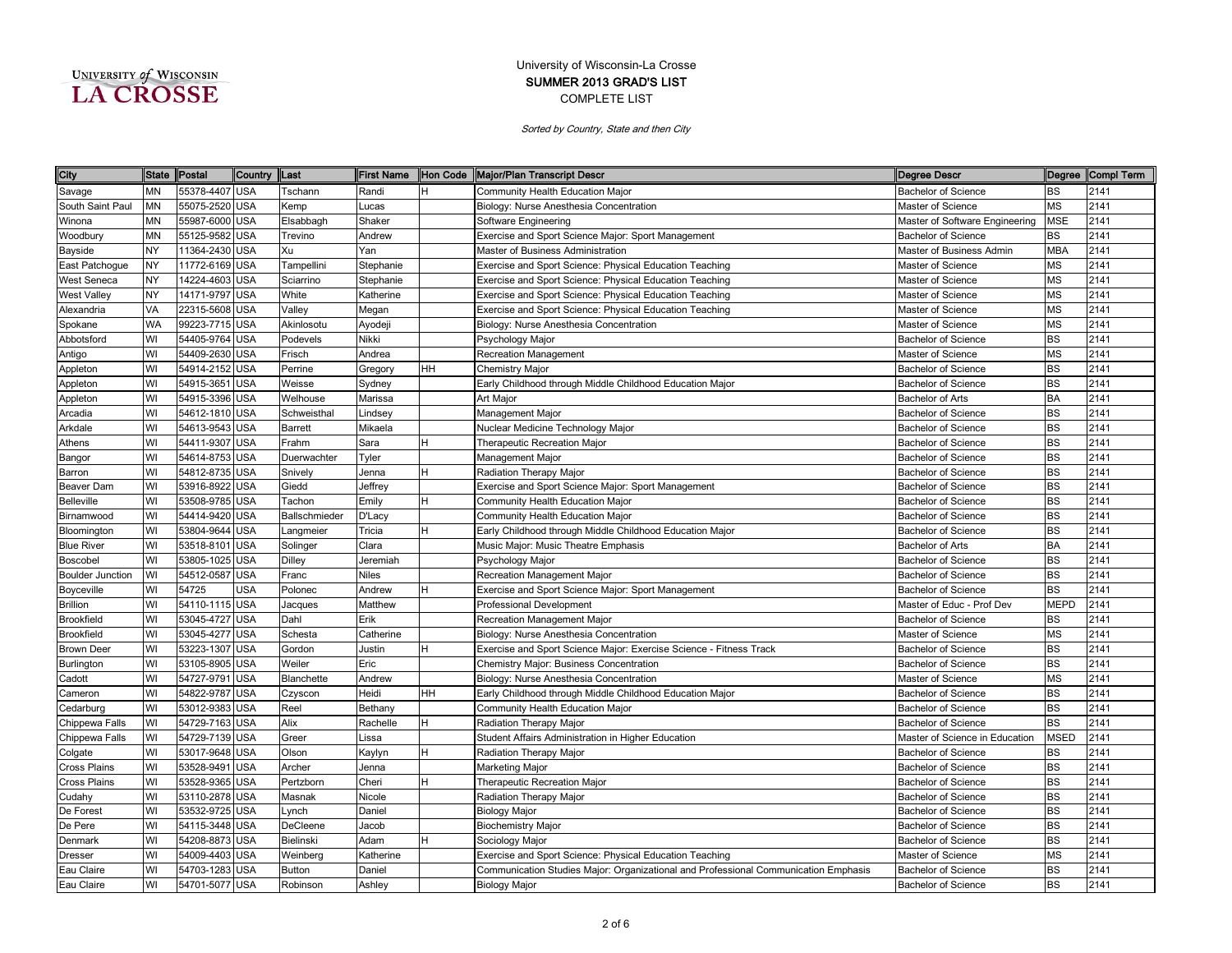| UNIVERSITY of WISCONSIN |  |
|-------------------------|--|
| <b>LA CROSSE</b>        |  |

| City                    | <b>State</b> | Postal         | Country    | <b>Last</b>   | <b>First Name</b> |     | Hon Code Major/Plan Transcript Descr                                                | Degree Descr                   |             | Degree Compl Term |
|-------------------------|--------------|----------------|------------|---------------|-------------------|-----|-------------------------------------------------------------------------------------|--------------------------------|-------------|-------------------|
| Savage                  | MN           | 55378-4407 USA |            | Tschann       | Randi             | н   | Community Health Education Major                                                    | <b>Bachelor of Science</b>     | ВS          | 2141              |
| South Saint Paul        | <b>MN</b>    | 55075-2520 USA |            | Kemp          | Lucas             |     | Biology: Nurse Anesthesia Concentration                                             | Master of Science              | МS          | 2141              |
| Winona                  | MN           | 55987-6000 USA |            | Elsabbagh     | Shaker            |     | Software Engineering                                                                | Master of Software Engineering | MSE         | 2141              |
| Woodbury                | <b>MN</b>    | 55125-9582 USA |            | Trevino       | Andrew            |     | Exercise and Sport Science Major: Sport Management                                  | <b>Bachelor of Science</b>     | BS          | 2141              |
| Bayside                 | <b>NY</b>    | 11364-2430 USA |            | Xu            | Yan               |     | Master of Business Administration                                                   | Master of Business Admin       | <b>MBA</b>  | 2141              |
| East Patchogue          | <b>NY</b>    | 11772-6169 USA |            | Tampellini    | Stephanie         |     | Exercise and Sport Science: Physical Education Teaching                             | Master of Science              | MS          | 2141              |
| West Seneca             | <b>NY</b>    | 14224-4603 USA |            | Sciarrino     | Stephanie         |     | Exercise and Sport Science: Physical Education Teaching                             | Master of Science              | <b>MS</b>   | 2141              |
| <b>West Valley</b>      | <b>NY</b>    | 14171-9797 USA |            | White         | Katherine         |     | Exercise and Sport Science: Physical Education Teaching                             | Master of Science              | MS          | 2141              |
| Alexandria              | VA           | 22315-5608 USA |            | Valley        | Megan             |     | Exercise and Sport Science: Physical Education Teaching                             | Master of Science              | MS          | 2141              |
| Spokane                 | <b>WA</b>    | 99223-7715 USA |            | Akinlosotu    | Ayodeji           |     | Biology: Nurse Anesthesia Concentration                                             | Master of Science              | MS          | 2141              |
| Abbotsford              | WI           | 54405-9764     | <b>USA</b> | Podevels      | Nikki             |     | Psychology Major                                                                    | <b>Bachelor of Science</b>     | BS          | 2141              |
| Antigo                  | WI           | 54409-2630 USA |            | Frisch        | Andrea            |     | <b>Recreation Management</b>                                                        | Master of Science              | MS          | 2141              |
| Appleton                | WI           | 54914-2152 USA |            | Perrine       | Gregory           | HH. | <b>Chemistry Major</b>                                                              | <b>Bachelor of Science</b>     | BS          | 2141              |
| Appleton                | WI           | 54915-3651     | <b>USA</b> | Weisse        | Sydney            |     | Early Childhood through Middle Childhood Education Major                            | <b>Bachelor of Science</b>     | BS          | 2141              |
| Appleton                | WI           | 54915-3396     | <b>USA</b> | Welhouse      | Marissa           |     | Art Major                                                                           | <b>Bachelor of Arts</b>        | BA          | 2141              |
| Arcadia                 | WI           | 54612-1810 USA |            | Schweisthal   | Lindsey           |     | Management Major                                                                    | <b>Bachelor of Science</b>     | BS          | 2141              |
| Arkdale                 | WI           | 54613-9543 USA |            | Barrett       | Mikaela           |     | Nuclear Medicine Technology Major                                                   | <b>Bachelor of Science</b>     | BS          | 2141              |
| Athens                  | WI           | 54411-9307 USA |            | Frahm         | Sara              |     | Therapeutic Recreation Major                                                        | Bachelor of Science            | BS          | 2141              |
| Bangor                  | WI           | 54614-8753 USA |            | Duerwachter   | Tyler             |     | Management Major                                                                    | Bachelor of Science            | <b>BS</b>   | 2141              |
| Barron                  | WI           | 54812-8735 USA |            | Snively       | Jenna             |     | Radiation Therapy Major                                                             | <b>Bachelor of Science</b>     | <b>BS</b>   | 2141              |
| Beaver Dam              | WI           | 53916-8922 USA |            | Giedd         | Jeffrey           |     | Exercise and Sport Science Major: Sport Management                                  | <b>Bachelor of Science</b>     | <b>BS</b>   | 2141              |
| Belleville              | WI           | 53508-9785 USA |            | Tachon        | Emily             |     | Community Health Education Major                                                    | <b>Bachelor of Science</b>     | <b>BS</b>   | 2141              |
| Birnamwood              | WI           | 54414-9420 USA |            | Ballschmieder | D'Lacy            |     | Community Health Education Major                                                    | <b>Bachelor of Science</b>     | <b>BS</b>   | 2141              |
| Bloomington             | WI           | 53804-9644 USA |            | Langmeier     | Tricia            | н   | Early Childhood through Middle Childhood Education Major                            | <b>Bachelor of Science</b>     | <b>BS</b>   | 2141              |
| <b>Blue River</b>       | WI           | 53518-8101 USA |            | Solinger      | Clara             |     | Music Major: Music Theatre Emphasis                                                 | <b>Bachelor of Arts</b>        | BA          | 2141              |
| Boscobel                | WI           | 53805-1025     | <b>USA</b> | <b>Dilley</b> | Jeremiah          |     | Psychology Major                                                                    | <b>Bachelor of Science</b>     | BS          | 2141              |
| <b>Boulder Junction</b> | WI           | 54512-0587     | <b>USA</b> | Franc         | <b>Niles</b>      |     | Recreation Management Major                                                         | <b>Bachelor of Science</b>     | BS          | 2141              |
| Boyceville              | WI           | 54725          | <b>USA</b> | Polonec       | Andrew            |     | Exercise and Sport Science Major: Sport Management                                  | <b>Bachelor of Science</b>     | <b>BS</b>   | 2141              |
| <b>Brillion</b>         | WI           | 54110-1115 USA |            | Jacques       | Matthew           |     | Professional Development                                                            | Master of Educ - Prof Dev      | <b>MEPD</b> | 2141              |
| <b>Brookfield</b>       | WI           | 53045-4727     | <b>USA</b> | Dahl          | Erik              |     | Recreation Management Major                                                         | <b>Bachelor of Science</b>     | BS          | 2141              |
| <b>Brookfield</b>       | WI           | 53045-4277 USA |            | Schesta       | Catherine         |     | Biology: Nurse Anesthesia Concentration                                             | Master of Science              | MS          | 2141              |
| <b>Brown Deer</b>       | WI           | 53223-1307 USA |            | Gordon        | Justin            |     | Exercise and Sport Science Major: Exercise Science - Fitness Track                  | <b>Bachelor of Science</b>     | BS          | 2141              |
| Burlington              | WI           | 53105-8905 USA |            | Weiler        | Eric              |     | Chemistry Major: Business Concentration                                             | <b>Bachelor of Science</b>     | BS          | 2141              |
| Cadott                  | WI           | 54727-9791     | <b>USA</b> | Blanchette    | Andrew            |     | Biology: Nurse Anesthesia Concentration                                             | Master of Science              | <b>MS</b>   | 2141              |
| Cameron                 | WI           | 54822-9787 USA |            | Czyscon       | Heidi             | HН  | Early Childhood through Middle Childhood Education Major                            | <b>Bachelor of Science</b>     | BS          | 2141              |
| Cedarburg               | WI           | 53012-9383 USA |            | Reel          | Bethany           |     | Community Health Education Major                                                    | <b>Bachelor of Science</b>     | BS          | 2141              |
| Chippewa Falls          | WI           | 54729-7163 USA |            | Alix          | Rachelle          |     | Radiation Therapy Major                                                             | <b>Bachelor of Science</b>     | BS          | 2141              |
| Chippewa Falls          | WI           | 54729-7139 USA |            | Greer         | Lissa             |     | Student Affairs Administration in Higher Education                                  | Master of Science in Education | <b>MSED</b> | 2141              |
| Colgate                 | WI           | 53017-9648 USA |            | Olson         | Kaylyn            |     | Radiation Therapy Major                                                             | <b>Bachelor of Science</b>     | <b>BS</b>   | 2141              |
| Cross Plains            | WI           | 53528-9491 USA |            | Archer        | Jenna             |     | Marketing Major                                                                     | <b>Bachelor of Science</b>     | <b>BS</b>   | 2141              |
| <b>Cross Plains</b>     | WI           | 53528-9365 USA |            | Pertzborn     | Cheri             | н   | Therapeutic Recreation Major                                                        | <b>Bachelor of Science</b>     | <b>BS</b>   | 2141              |
| Cudahy                  | WI           | 53110-2878 USA |            | Masnak        | Nicole            |     | Radiation Therapy Major                                                             | <b>Bachelor of Science</b>     | <b>BS</b>   | 2141              |
| De Forest               | WI           | 53532-9725 USA |            | Lynch         | Daniel            |     | <b>Biology Major</b>                                                                | <b>Bachelor of Science</b>     | <b>BS</b>   | 2141              |
| De Pere                 | WI           | 54115-3448 USA |            | DeCleene      | Jacob             |     | <b>Biochemistry Major</b>                                                           | <b>Bachelor of Science</b>     | <b>BS</b>   | 2141              |
| Denmark                 | WI           | 54208-8873     | <b>USA</b> | Bielinski     | Adam              | н   | Sociology Major                                                                     | <b>Bachelor of Science</b>     | BS          | 2141              |
| <b>Dresser</b>          | WI           | 54009-4403     | <b>USA</b> | Weinberg      | Katherine         |     | Exercise and Sport Science: Physical Education Teaching                             | Master of Science              | ΜS          | 2141              |
| Eau Claire              | WI           | 54703-1283 USA |            | <b>Button</b> | Daniel            |     | Communication Studies Major: Organizational and Professional Communication Emphasis | <b>Bachelor of Science</b>     | BS          | 2141              |
| Eau Claire              | WI           | 54701-5077 USA |            | Robinson      | Ashley            |     | <b>Biology Major</b>                                                                | <b>Bachelor of Science</b>     | <b>BS</b>   | 2141              |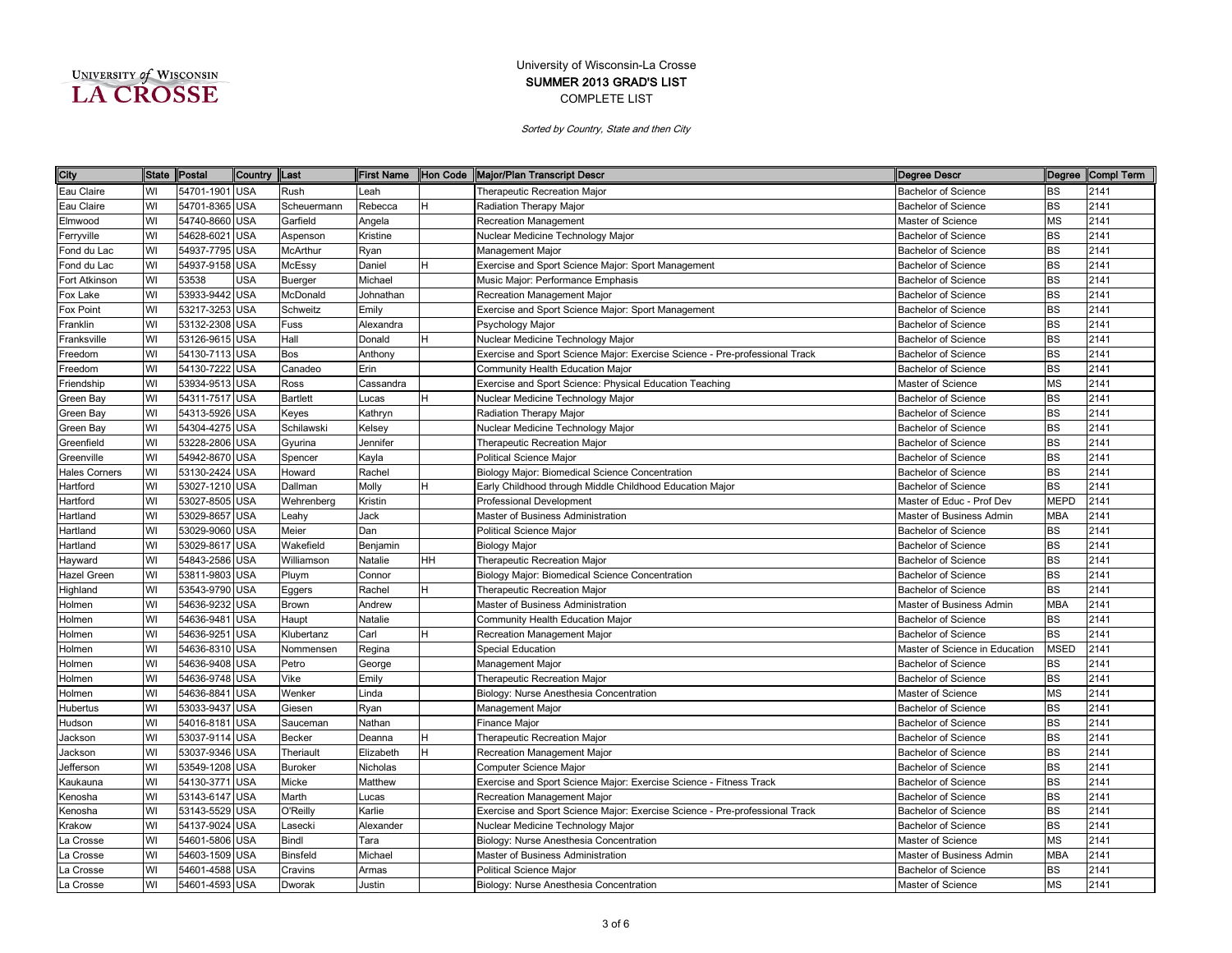| UNIVERSITY of WISCONSIN |  |
|-------------------------|--|
| <b>LA CROSSE</b>        |  |

| City                 | <b>State</b> | Postal         | Country    | <b>Last</b>     | <b>First Name</b> |    | Hon Code   Major/Plan Transcript Descr                                      | Degree Descr                   |             | Degree Compl Term |
|----------------------|--------------|----------------|------------|-----------------|-------------------|----|-----------------------------------------------------------------------------|--------------------------------|-------------|-------------------|
| Eau Claire           | WI           | 54701-1901 USA |            | Rush            | Leah              |    | Therapeutic Recreation Major                                                | <b>Bachelor of Science</b>     | <b>BS</b>   | 2141              |
| Eau Claire           | WI           | 54701-8365 USA |            | Scheuermann     | Rebecca           |    | Radiation Therapy Major                                                     | <b>Bachelor of Science</b>     | <b>BS</b>   | 2141              |
| Elmwood              | WI           | 54740-8660 USA |            | Garfield        | Angela            |    | Recreation Management                                                       | Master of Science              | MS          | 2141              |
| Ferryville           | WI           | 54628-6021     | <b>USA</b> | Aspenson        | Kristine          |    | Nuclear Medicine Technology Major                                           | <b>Bachelor of Science</b>     | <b>BS</b>   | 2141              |
| Fond du Lac          | WI           | 54937-7795 USA |            | McArthur        | Ryan              |    | Management Major                                                            | <b>Bachelor of Science</b>     | <b>BS</b>   | 2141              |
| Fond du Lac          | WI           | 54937-9158 USA |            | McEssy          | Daniel            |    | Exercise and Sport Science Major: Sport Management                          | <b>Bachelor of Science</b>     | <b>BS</b>   | 2141              |
| Fort Atkinson        | WI           | 53538          | <b>USA</b> | Buerger         | Michael           |    | Music Major: Performance Emphasis                                           | <b>Bachelor of Science</b>     | <b>BS</b>   | 2141              |
| Fox Lake             | WI           | 53933-9442 USA |            | McDonald        | Johnathan         |    | Recreation Management Major                                                 | <b>Bachelor of Science</b>     | BS          | 2141              |
| Fox Point            | WI           | 53217-3253     | <b>USA</b> | Schweitz        | Emily             |    | Exercise and Sport Science Major: Sport Management                          | <b>Bachelor of Science</b>     | <b>BS</b>   | 2141              |
| Franklin             | WI           | 53132-2308 USA |            | Fuss            | Alexandra         |    | Psychology Major                                                            | <b>Bachelor of Science</b>     | <b>BS</b>   | 2141              |
| Franksville          | WI           | 53126-9615 USA |            | Hall            | Donald            | H. | Nuclear Medicine Technology Major                                           | <b>Bachelor of Science</b>     | <b>BS</b>   | 2141              |
| Freedom              | WI           | 54130-7113 USA |            | Bos             | Anthony           |    | Exercise and Sport Science Major: Exercise Science - Pre-professional Track | <b>Bachelor of Science</b>     | <b>BS</b>   | 2141              |
| Freedom              | WI           | 54130-7222 USA |            | Canadeo         | Erin              |    | Community Health Education Major                                            | <b>Bachelor of Science</b>     | BS          | 2141              |
| Friendship           | WI           | 53934-9513 USA |            | Ross            | Cassandra         |    | Exercise and Sport Science: Physical Education Teaching                     | Master of Science              | MS          | 2141              |
| Green Bay            | WI           | 54311-7517 USA |            | <b>Bartlett</b> | Lucas             |    | Nuclear Medicine Technology Major                                           | <b>Bachelor of Science</b>     | BS          | 2141              |
| Green Bay            | WI           | 54313-5926     | <b>USA</b> | Keyes           | Kathryn           |    | Radiation Therapy Major                                                     | <b>Bachelor of Science</b>     | <b>BS</b>   | 2141              |
| Green Bay            | WI           | 54304-4275 USA |            | Schilawski      | Kelsey            |    | Nuclear Medicine Technology Major                                           | <b>Bachelor of Science</b>     | BS          | 2141              |
| Greenfield           | WI           | 53228-2806 USA |            | Gyurina         | Jennifer          |    | Therapeutic Recreation Major                                                | <b>Bachelor of Science</b>     | BS          | 2141              |
| Greenville           | WI           | 54942-8670 USA |            | Spencer         | Kayla             |    | Political Science Major                                                     | <b>Bachelor of Science</b>     | BS          | 2141              |
| <b>Hales Corners</b> | WI           | 53130-2424 USA |            | Howard          | Rachel            |    | Biology Major: Biomedical Science Concentration                             | <b>Bachelor of Science</b>     | BS          | 2141              |
| Hartford             | WI           | 53027-1210 USA |            | Dallman         | Molly             |    | Early Childhood through Middle Childhood Education Major                    | <b>Bachelor of Science</b>     | BS          | 2141              |
| Hartford             | WI           | 53027-8505 USA |            | Wehrenberg      | Kristin           |    | <b>Professional Development</b>                                             | Master of Educ - Prof Dev      | <b>MEPD</b> | 2141              |
| Hartland             | WI           | 53029-8657 USA |            | ∟eahy           | Jack              |    | Master of Business Administration                                           | Master of Business Admin       | MBA         | 2141              |
| Hartland             | WI           | 53029-9060 USA |            | Meier           | Dan               |    | <b>Political Science Major</b>                                              | <b>Bachelor of Science</b>     | <b>BS</b>   | 2141              |
| Hartland             | WI           | 53029-8617 USA |            | Wakefield       | Benjamin          |    | <b>Biology Major</b>                                                        | <b>Bachelor of Science</b>     | <b>BS</b>   | 2141              |
| Hayward              | WI           | 54843-2586 USA |            | Williamson      | Natalie           | HН | Therapeutic Recreation Major                                                | <b>Bachelor of Science</b>     | <b>BS</b>   | 2141              |
| Hazel Green          | WI           | 53811-9803 USA |            | Pluym           | Connor            |    | Biology Major: Biomedical Science Concentration                             | <b>Bachelor of Science</b>     | <b>BS</b>   | 2141              |
| Highland             | WI           | 53543-9790 USA |            | Eggers          | Rachel            |    | Therapeutic Recreation Major                                                | <b>Bachelor of Science</b>     | BS          | 2141              |
| Holmen               | WI           | 54636-9232     | <b>USA</b> | Brown           | Andrew            |    | Master of Business Administration                                           | Master of Business Admin       | MBA         | 2141              |
| Holmen               | WI           | 54636-9481     | <b>USA</b> | Haupt           | Natalie           |    | Community Health Education Major                                            | <b>Bachelor of Science</b>     | ВS          | 2141              |
| Holmen               | WI           | 54636-9251     | <b>USA</b> | Klubertanz      | Carl              | н  | Recreation Management Major                                                 | <b>Bachelor of Science</b>     | <b>BS</b>   | 2141              |
| Holmen               | WI           | 54636-8310 USA |            | Nommensen       | Regina            |    | Special Education                                                           | Master of Science in Education | <b>MSED</b> | 2141              |
| Holmen               | WI           | 54636-9408 USA |            | Petro           | George            |    | Management Major                                                            | <b>Bachelor of Science</b>     | ВS          | 2141              |
| Holmen               | WI           | 54636-9748     | <b>USA</b> | Vike            | Emily             |    | Therapeutic Recreation Major                                                | <b>Bachelor of Science</b>     | BS          | 2141              |
| Holmen               | WI           | 54636-8841     | <b>USA</b> | Wenker          | Linda             |    | Biology: Nurse Anesthesia Concentration                                     | Master of Science              | MS          | 2141              |
| Hubertus             | WI           | 53033-9437     | <b>USA</b> | Giesen          | Ryan              |    | Management Major                                                            | <b>Bachelor of Science</b>     | BS          | 2141              |
| Hudson               | WI           | 54016-8181     | <b>USA</b> | Sauceman        | Nathan            |    | Finance Major                                                               | <b>Bachelor of Science</b>     | BS          | 2141              |
| Jackson              | WI           | 53037-9114     | <b>USA</b> | Becker          | Deanna            |    | <b>Therapeutic Recreation Major</b>                                         | <b>Bachelor of Science</b>     | BS          | 2141              |
| Jackson              | WI           | 53037-9346 USA |            | Theriault       | Elizabeth         |    | Recreation Management Major                                                 | Bachelor of Science            | BS          | 2141              |
| Jefferson            | WI           | 53549-1208 USA |            | <b>Buroker</b>  | Nicholas          |    | Computer Science Major                                                      | <b>Bachelor of Science</b>     | BS          | 2141              |
| Kaukauna             | WI           | 54130-3771 USA |            | Micke           | Matthew           |    | Exercise and Sport Science Major: Exercise Science - Fitness Track          | <b>Bachelor of Science</b>     | <b>BS</b>   | 2141              |
| Kenosha              | WI           | 53143-6147 USA |            | Marth           | Lucas             |    | Recreation Management Major                                                 | <b>Bachelor of Science</b>     | <b>BS</b>   | 2141              |
| Kenosha              | WI           | 53143-5529 USA |            | O'Reilly        | Karlie            |    | Exercise and Sport Science Major: Exercise Science - Pre-professional Track | <b>Bachelor of Science</b>     | <b>BS</b>   | 2141              |
| Krakow               | WI           | 54137-9024 USA |            | Lasecki         | Alexander         |    | Nuclear Medicine Technology Major                                           | <b>Bachelor of Science</b>     | <b>BS</b>   | 2141              |
| La Crosse            | WI           | 54601-5806 USA |            | Bindl           | Tara              |    | Biology: Nurse Anesthesia Concentration                                     | Master of Science              | MS          | 2141              |
| La Crosse            | WI           | 54603-1509 USA |            | Binsfeld        | Michael           |    | Master of Business Administration                                           | Master of Business Admin       | MBA         | 2141              |
| La Crosse            | WI           | 54601-4588 USA |            | Cravins         | Armas             |    | Political Science Maior                                                     | <b>Bachelor of Science</b>     | ВS          | 2141              |
| La Crosse            | WI           | 54601-4593 USA |            | Dworak          | Justin            |    | Biology: Nurse Anesthesia Concentration                                     | Master of Science              | <b>MS</b>   | 2141              |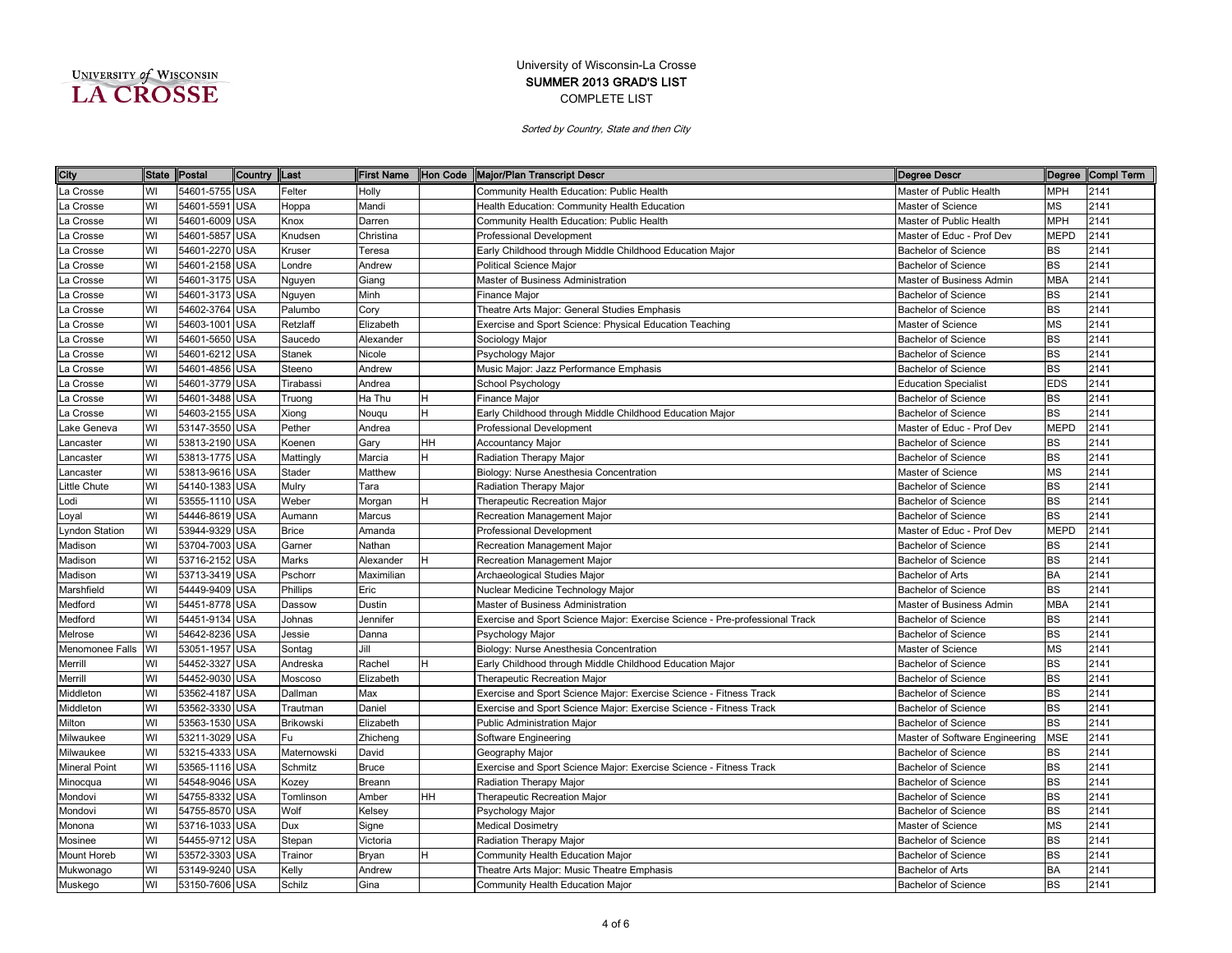| UNIVERSITY of WISCONSIN |  |
|-------------------------|--|
| <b>LA CROSSE</b>        |  |

| City                  | <b>State</b> | Postal         | Country    | Last          | <b>First Name</b> |    | Hon Code Major/Plan Transcript Descr<br>Degree Descr                                                      |             | Degree Compl Term |
|-----------------------|--------------|----------------|------------|---------------|-------------------|----|-----------------------------------------------------------------------------------------------------------|-------------|-------------------|
| La Crosse             | WI           | 54601-5755 USA |            | Felter        | Holly             |    | Community Health Education: Public Health<br>Master of Public Health                                      | <b>MPH</b>  | 2141              |
| La Crosse             | WI           | 54601-5591 USA |            | Hoppa         | Mandi             |    | Health Education: Community Health Education<br>Master of Science                                         | МS          | 2141              |
| La Crosse             | WI           | 54601-6009 USA |            | Knox          | Darren            |    | Community Health Education: Public Health<br>Master of Public Health                                      | <b>MPH</b>  | 2141              |
| La Crosse             | WI           | 54601-5857 USA |            | Knudsen       | Christina         |    | <b>Professional Development</b><br>Master of Educ - Prof Dev                                              | <b>MEPD</b> | 2141              |
| La Crosse             | WI           | 54601-2270 USA |            | Kruser        | Teresa            |    | Early Childhood through Middle Childhood Education Major<br><b>Bachelor of Science</b>                    | BS          | 2141              |
| La Crosse             | WI           | 54601-2158 USA |            | _ondre        | Andrew            |    | <b>Political Science Major</b><br><b>Bachelor of Science</b>                                              | BS          | 2141              |
| La Crosse             | WI           | 54601-3175 USA |            | Nguyen        | Giang             |    | Master of Business Administration<br>Master of Business Admin                                             | <b>MBA</b>  | 2141              |
| La Crosse             | WI           | 54601-3173 USA |            | Nguyen        | Minh              |    | Finance Major<br><b>Bachelor of Science</b>                                                               | ВS          | 2141              |
| La Crosse             | WI           | 54602-3764 USA |            | Palumbo       | Cory              |    | Theatre Arts Major: General Studies Emphasis<br>Bachelor of Science                                       | <b>BS</b>   | 2141              |
| La Crosse             | WI           | 54603-1001     | <b>USA</b> | Retzlaff      | Elizabeth         |    | Exercise and Sport Science: Physical Education Teaching<br>Master of Science                              | MS          | 2141              |
| La Crosse             | WI           | 54601-5650 USA |            | Saucedo       | Alexander         |    | Sociology Major<br><b>Bachelor of Science</b>                                                             | BS          | 2141              |
| La Crosse             | WI           | 54601-6212     | <b>USA</b> | <b>Stanek</b> | Nicole            |    | Psychology Major<br><b>Bachelor of Science</b>                                                            | <b>BS</b>   | 2141              |
| La Crosse             | WI           | 54601-4856     | <b>USA</b> | Steeno        | Andrew            |    | Music Major: Jazz Performance Emphasis<br><b>Bachelor of Science</b>                                      | BS          | 2141              |
| a Crosse              | WI           | 54601-3779 USA |            | Tirabassi     | Andrea            |    | School Psychology<br><b>Education Specialist</b>                                                          | <b>EDS</b>  | 2141              |
| La Crosse             | WI           | 54601-3488 USA |            | Truong        | Ha Thu            |    | Finance Major<br><b>Bachelor of Science</b>                                                               | BS          | 2141              |
| La Crosse             | WI           | 54603-2155 USA |            | Xiong         | Nougu             |    | Early Childhood through Middle Childhood Education Major<br><b>Bachelor of Science</b>                    | BS          | 2141              |
| ake Geneva            | WI           | 53147-3550 USA |            | Pether        | Andrea            |    | Professional Development<br>Master of Educ - Prof Dev                                                     | <b>MEPD</b> | 2141              |
| ancaster              | WI           | 53813-2190 USA |            | Koenen        | Gary              | HН | <b>Accountancy Major</b><br><b>Bachelor of Science</b>                                                    | ВS          | 2141              |
| Lancaster             | WI           | 53813-1775 USA |            | Mattingly     | Marcia            |    | Radiation Therapy Major<br><b>Bachelor of Science</b>                                                     | <b>BS</b>   | 2141              |
| Lancaster             | WI           | 53813-9616 USA |            | Stader        | Matthew           |    | Biology: Nurse Anesthesia Concentration<br>Master of Science                                              | ΜS          | 2141              |
| Little Chute          | WI           | 54140-1383 USA |            | Mulry         | Tara              |    | Radiation Therapy Major<br><b>Bachelor of Science</b>                                                     | <b>BS</b>   | 2141              |
| Lodi                  | WI           | 53555-1110 USA |            | Weber         | Morgan            |    | Therapeutic Recreation Major<br><b>Bachelor of Science</b>                                                | <b>BS</b>   | 2141              |
| Loyal                 | WI           | 54446-8619 USA |            | Aumann        | Marcus            |    | Recreation Management Major<br><b>Bachelor of Science</b>                                                 | <b>BS</b>   | 2141              |
| <b>Lyndon Station</b> | WI           | 53944-9329 USA |            | <b>Brice</b>  | Amanda            |    | <b>Professional Development</b><br>Master of Educ - Prof Dev                                              | <b>MEPD</b> | 2141              |
| Madison               | WI           | 53704-7003 USA |            | Garner        | Nathan            |    | Recreation Management Major<br><b>Bachelor of Science</b>                                                 | <b>BS</b>   | 2141              |
| Madison               | WI           | 53716-2152 USA |            | Marks         | Alexander         |    | Recreation Management Major<br><b>Bachelor of Science</b>                                                 | <b>BS</b>   | 2141              |
| Madison               | WI           | 53713-3419 USA |            | Pschorr       | Maximilian        |    | Archaeological Studies Major<br><b>Bachelor of Arts</b>                                                   | <b>BA</b>   | 2141              |
| Marshfield            | WI           | 54449-9409 USA |            | Phillips      | Eric              |    | Nuclear Medicine Technology Major<br><b>Bachelor of Science</b>                                           | <b>BS</b>   | 2141              |
| Medford               | WI           | 54451-8778 USA |            | Dassow        | Dustin            |    | Master of Business Administration<br>Master of Business Admin                                             | <b>MBA</b>  | 2141              |
| Medford               | WI           | 54451-9134     | <b>USA</b> | Johnas        | Jennifer          |    | Exercise and Sport Science Major: Exercise Science - Pre-professional Track<br><b>Bachelor of Science</b> | BS          | 2141              |
| Melrose               | WI           | 54642-8236 USA |            | Jessie        | Danna             |    | Psychology Major<br><b>Bachelor of Science</b>                                                            | <b>BS</b>   | 2141              |
| Menomonee Falls       | WI           | 53051-1957     | <b>USA</b> | Sontag        | Jill              |    | Biology: Nurse Anesthesia Concentration<br>Master of Science                                              | MS          | 2141              |
| Merrill               | WI           | 54452-3327     | <b>USA</b> | Andreska      | Rachel            |    | Early Childhood through Middle Childhood Education Major<br><b>Bachelor of Science</b>                    | <b>BS</b>   | 2141              |
| Merrill               | WI           | 54452-9030 USA |            | Moscoso       | Elizabeth         |    | Therapeutic Recreation Major<br><b>Bachelor of Science</b>                                                | BS          | 2141              |
| Middleton             | WI           | 53562-4187 USA |            | Dallman       | Max               |    | Exercise and Sport Science Major: Exercise Science - Fitness Track<br><b>Bachelor of Science</b>          | <b>BS</b>   | 2141              |
| Middleton             | WI           | 53562-3330     | <b>USA</b> | Trautman      | Daniel            |    | Exercise and Sport Science Major: Exercise Science - Fitness Track<br><b>Bachelor of Science</b>          | <b>BS</b>   | 2141              |
| Milton                | WI           | 53563-1530 USA |            | Brikowski     | Elizabeth         |    | <b>Bachelor of Science</b><br>Public Administration Major                                                 | <b>BS</b>   | 2141              |
| Milwaukee             | WI           | 53211-3029 USA |            | Fu            | Zhicheng          |    | Software Engineering<br>Master of Software Engineering                                                    | <b>MSE</b>  | 2141              |
| Milwaukee             | WI           | 53215-4333     | <b>USA</b> | Maternowski   | David             |    | Geography Major<br><b>Bachelor of Science</b>                                                             | ВS          | 2141              |
| <b>Mineral Point</b>  | WI           | 53565-1116 USA |            | Schmitz       | Bruce             |    | Exercise and Sport Science Major: Exercise Science - Fitness Track<br><b>Bachelor of Science</b>          | BS          | 2141              |
| Minocqua              | WI           | 54548-9046 USA |            | Kozey         | Breann            |    | Radiation Therapy Major<br><b>Bachelor of Science</b>                                                     | BS          | 2141              |
| Mondovi               | WI           | 54755-8332 USA |            | Tomlinson     | Amber             | HН | Therapeutic Recreation Major<br><b>Bachelor of Science</b>                                                | <b>BS</b>   | 2141              |
| Mondovi               | WI           | 54755-8570 USA |            | Wolf          | Kelsey            |    | Psychology Major<br><b>Bachelor of Science</b>                                                            | BS          | 2141              |
| Monona                | WI           | 53716-1033 USA |            | Dux           | Signe             |    | <b>Medical Dosimetry</b><br>Master of Science                                                             | ΜS          | 2141              |
| Mosinee               | WI           | 54455-9712 USA |            | Stepan        | Victoria          |    | Radiation Therapy Major<br><b>Bachelor of Science</b>                                                     | <b>BS</b>   | 2141              |
| Mount Horeb           | WI           | 53572-3303 USA |            | Trainor       | Bryan             |    | Community Health Education Major<br><b>Bachelor of Science</b>                                            | <b>BS</b>   | 2141              |
| Mukwonago             | WI           | 53149-9240 USA |            | Kelly         | Andrew            |    | Theatre Arts Major: Music Theatre Emphasis<br><b>Bachelor of Arts</b>                                     | BA          | 2141              |
| Muskego               | WI           | 53150-7606 USA |            | Schilz        | Gina              |    | Community Health Education Major<br><b>Bachelor of Science</b>                                            | <b>BS</b>   | 2141              |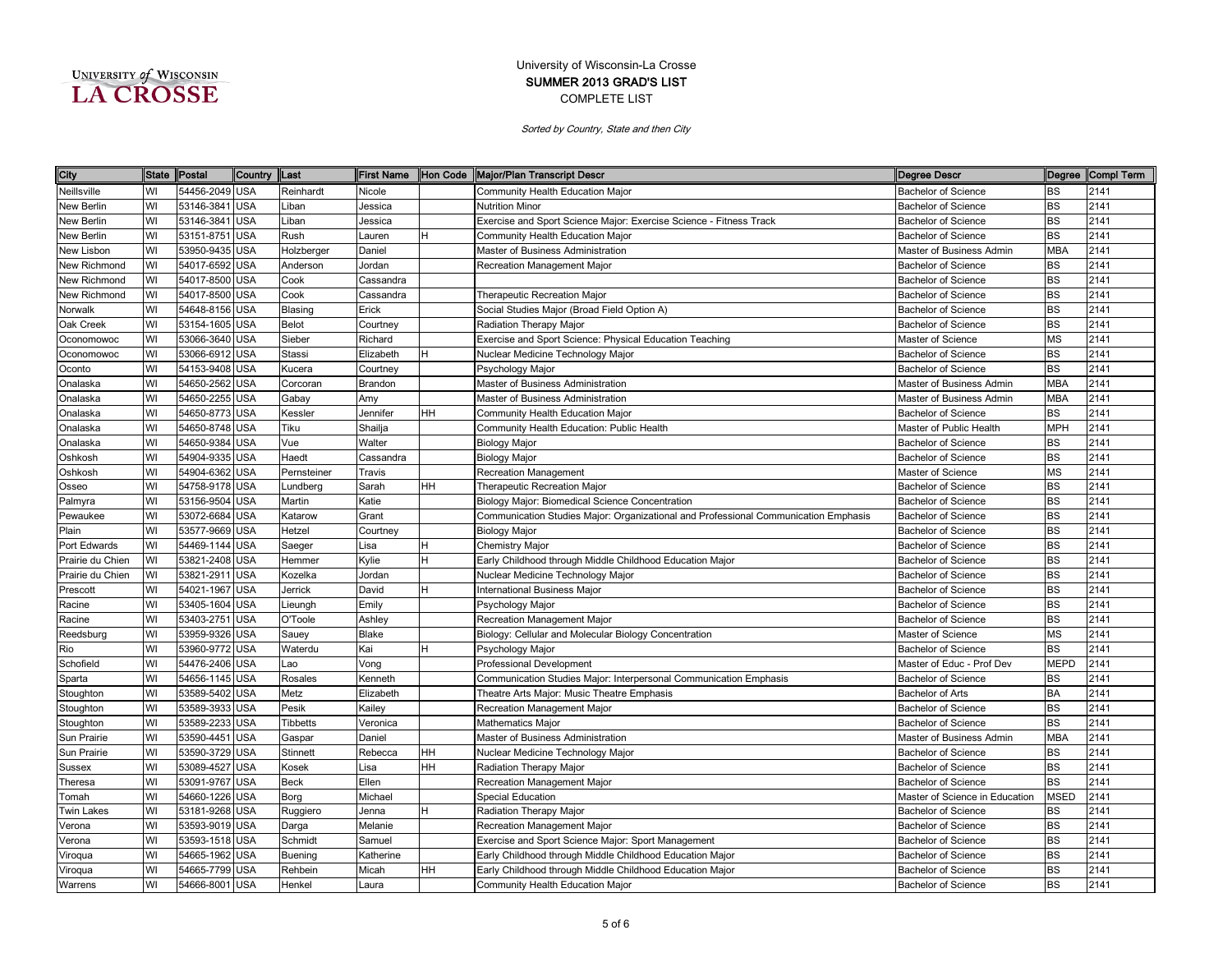| UNIVERSITY of WISCONSIN |  |
|-------------------------|--|
| <b>LA CROSSE</b>        |  |

| City              | <b>State</b> | Postal         | Country    | <b>ILast</b>    | <b>First Name</b> |    | Hon Code   Major/Plan Transcript Descr                                              | Degree Descr                   |             | Degree Compl Term |
|-------------------|--------------|----------------|------------|-----------------|-------------------|----|-------------------------------------------------------------------------------------|--------------------------------|-------------|-------------------|
| Neillsville       | WI           | 54456-2049     | <b>USA</b> | Reinhardt       | Nicole            |    | Community Health Education Major                                                    | <b>Bachelor of Science</b>     | BS          | 2141              |
| New Berlin        | WI           | 53146-3841     | <b>USA</b> | Liban           | Jessica           |    | <b>Nutrition Minor</b>                                                              | <b>Bachelor of Science</b>     | <b>BS</b>   | 2141              |
| New Berlin        | WI           | 53146-3841     | <b>USA</b> | Liban           | Jessica           |    | Exercise and Sport Science Major: Exercise Science - Fitness Track                  | <b>Bachelor of Science</b>     | <b>BS</b>   | 2141              |
| New Berlin        | WI           | 53151-8751     | <b>USA</b> | Rush            | Lauren            | н  | Community Health Education Major                                                    | <b>Bachelor of Science</b>     | <b>BS</b>   | 2141              |
| New Lisbon        | WI           | 53950-9435     | <b>USA</b> | Holzberger      | Daniel            |    | Master of Business Administration                                                   | Master of Business Admin       | <b>MBA</b>  | 2141              |
| New Richmond      | WI           | 54017-6592     | <b>USA</b> | Anderson        | Jordan            |    | Recreation Management Major                                                         | <b>Bachelor of Science</b>     | BS          | 2141              |
| New Richmond      | WI           | 54017-8500     | USA        | Cook            | Cassandra         |    |                                                                                     | <b>Bachelor of Science</b>     | <b>BS</b>   | 2141              |
| New Richmond      | WI           | 54017-8500     | USA        | Cook            | Cassandra         |    | Therapeutic Recreation Major                                                        | Bachelor of Science            | <b>BS</b>   | 2141              |
| Norwalk           | WI           | 54648-8156     | USA        | Blasing         | Erick             |    | Social Studies Major (Broad Field Option A)                                         | <b>Bachelor of Science</b>     | <b>BS</b>   | 2141              |
| Oak Creek         | WI           | 53154-1605     | USA        | <b>Belot</b>    | Courtney          |    | Radiation Therapy Major                                                             | <b>Bachelor of Science</b>     | <b>BS</b>   | 2141              |
| Oconomowoc        | WI           | 53066-3640     | USA        | Sieber          | Richard           |    | Exercise and Sport Science: Physical Education Teaching                             | Master of Science              | <b>MS</b>   | 2141              |
| Oconomowoc        | WI           | 53066-6912     | <b>USA</b> | Stassi          | Elizabeth         | н  | Nuclear Medicine Technology Major                                                   | Bachelor of Science            | <b>BS</b>   | 2141              |
| Oconto            | WI           | 54153-9408     | USA        | Kucera          | Courtney          |    | Psychology Major                                                                    | <b>Bachelor of Science</b>     | <b>BS</b>   | 2141              |
| Onalaska          | WI           | 54650-2562     | USA        | Corcoran        | Brandon           |    | Master of Business Administration                                                   | Master of Business Admin       | <b>MBA</b>  | 2141              |
| Onalaska          | WI           | 54650-2255     | USA        | Gabay           | Amy               |    | Master of Business Administration                                                   | Master of Business Admin       | <b>MBA</b>  | 2141              |
| Onalaska          | WI           | 54650-8773     | USA        | Kessler         | Jennifer          | HН | Community Health Education Major                                                    | <b>Bachelor of Science</b>     | <b>BS</b>   | 2141              |
| Onalaska          | WI           | 54650-8748     | USA        | Tiku            | Shailja           |    | Community Health Education: Public Health                                           | Master of Public Health        | <b>MPH</b>  | 2141              |
| Onalaska          | WI           | 54650-9384     | USA        | Vue             | Walter            |    | <b>Biology Major</b>                                                                | <b>Bachelor of Science</b>     | <b>BS</b>   | 2141              |
| Oshkosh           | WI           | 54904-9335     | USA        | Haedt           | Cassandra         |    | <b>Biology Major</b>                                                                | <b>Bachelor of Science</b>     | <b>BS</b>   | 2141              |
| Oshkosh           | WI           | 54904-6362     | <b>USA</b> | Pernsteiner     | Travis            |    | <b>Recreation Management</b>                                                        | Master of Science              | <b>MS</b>   | 2141              |
| Osseo             | WI           | 54758-9178 USA |            | Lundberg        | Sarah             | HН | Therapeutic Recreation Major                                                        | <b>Bachelor of Science</b>     | BS          | 2141              |
| Palmyra           | WI           | 53156-9504     | <b>USA</b> | Martin          | Katie             |    | Biology Major: Biomedical Science Concentration                                     | <b>Bachelor of Science</b>     | <b>BS</b>   | 2141              |
| Pewaukee          | WI           | 53072-6684     | <b>USA</b> | Katarow         | Grant             |    | Communication Studies Major: Organizational and Professional Communication Emphasis | <b>Bachelor of Science</b>     | <b>BS</b>   | 2141              |
| Plain             | WI           | 53577-9669     | <b>USA</b> | Hetzel          | Courtney          |    | <b>Biology Major</b>                                                                | <b>Bachelor of Science</b>     | <b>BS</b>   | 2141              |
| Port Edwards      | WI           | 54469-1144     | USA        | Saeger          | Lisa              | H. | Chemistry Major                                                                     | <b>Bachelor of Science</b>     | <b>BS</b>   | 2141              |
| Prairie du Chien  | WI           | 53821-2408     | USA        | Hemmer          | Kylie             | H  | Early Childhood through Middle Childhood Education Major                            | Bachelor of Science            | <b>BS</b>   | 2141              |
| Prairie du Chien  | WI           | 53821-2911     | USA        | Kozelka         | Jordan            |    | Nuclear Medicine Technology Major                                                   | <b>Bachelor of Science</b>     | <b>BS</b>   | 2141              |
| Prescott          | WI           | 54021-1967     | USA        | Jerrick         | David             | н  | nternational Business Major                                                         | <b>Bachelor of Science</b>     | <b>BS</b>   | 2141              |
| Racine            | WI           | 53405-1604     | USA        | Lieungh         | Emily             |    | Psychology Major                                                                    | <b>Bachelor of Science</b>     | BS          | 2141              |
| Racine            | WI           | 53403-2751     | USA        | O'Toole         | Ashley            |    | Recreation Management Major                                                         | <b>Bachelor of Science</b>     | <b>BS</b>   | 2141              |
| Reedsburg         | WI           | 53959-9326     | USA        | Sauey           | Blake             |    | Biology: Cellular and Molecular Biology Concentration                               | Master of Science              | <b>MS</b>   | 2141              |
| Rio               | WI           | 53960-9772     | USA        | Waterdu         | Kai               | H. | Psychology Major                                                                    | <b>Bachelor of Science</b>     | <b>BS</b>   | 2141              |
| Schofield         | WI           | 54476-2406     | USA        | Lao             | Vong              |    | <b>Professional Development</b>                                                     | Master of Educ - Prof Dev      | <b>MEPD</b> | 2141              |
| Sparta            | WI           | 54656-1145     | USA        | Rosales         | Kenneth           |    | Communication Studies Major: Interpersonal Communication Emphasis                   | <b>Bachelor of Science</b>     | <b>BS</b>   | 2141              |
| Stoughton         | WI           | 53589-5402     | USA        | Metz            | Elizabeth         |    | Theatre Arts Major: Music Theatre Emphasis                                          | <b>Bachelor of Arts</b>        | <b>BA</b>   | 2141              |
| Stoughton         | WI           | 53589-3933     | USA        | Pesik           | <b>Kailey</b>     |    | Recreation Management Major                                                         | <b>Bachelor of Science</b>     | <b>BS</b>   | 2141              |
| Stoughton         | WI           | 53589-2233     | USA        | <b>Tibbetts</b> | Veronica          |    | Mathematics Major                                                                   | <b>Bachelor of Science</b>     | <b>BS</b>   | 2141              |
| Sun Prairie       | WI           | 53590-4451     | <b>USA</b> | Gaspar          | Daniel            |    | Master of Business Administration                                                   | Master of Business Admin       | <b>MBA</b>  | 2141              |
| Sun Prairie       | WI           | 53590-3729 USA |            | <b>Stinnett</b> | Rebecca           | HН | Nuclear Medicine Technology Major                                                   | <b>Bachelor of Science</b>     | <b>BS</b>   | 2141              |
| Sussex            | WI           | 53089-4527     | <b>USA</b> | Kosek           | Lisa              | HН | Radiation Therapy Major                                                             | <b>Bachelor of Science</b>     | <b>BS</b>   | 2141              |
| Theresa           | WI           | 53091-9767     | <b>USA</b> | Beck            | Ellen             |    | Recreation Management Major                                                         | <b>Bachelor of Science</b>     | <b>BS</b>   | 2141              |
| Tomah             | WI           | 54660-1226 USA |            | Borg            | Michael           |    | <b>Special Education</b>                                                            | Master of Science in Education | <b>MSED</b> | 2141              |
| <b>Twin Lakes</b> | WI           | 53181-9268     | USA        | Ruggiero        | Jenna             | н  | Radiation Therapy Major                                                             | <b>Bachelor of Science</b>     | BS          | 2141              |
| Verona            | WI           | 53593-9019     | <b>USA</b> | Darga           | Melanie           |    | Recreation Management Major                                                         | Bachelor of Science            | <b>BS</b>   | 2141              |
| Verona            | WI           | 53593-1518     | <b>USA</b> | Schmidt         | Samuel            |    | Exercise and Sport Science Major: Sport Management                                  | <b>Bachelor of Science</b>     | <b>BS</b>   | 2141              |
| Viroqua           | WI           | 54665-1962     | USA        | Buening         | Katherine         |    | Early Childhood through Middle Childhood Education Major                            | <b>Bachelor of Science</b>     | <b>BS</b>   | 2141              |
| Viroqua           | WI           | 54665-7799     | USA        | Rehbein         | Micah             | HН | Early Childhood through Middle Childhood Education Major                            | <b>Bachelor of Science</b>     | <b>BS</b>   | 2141              |
| Warrens           | WI           | 54666-8001     | <b>USA</b> | Henkel          | Laura             |    | Community Health Education Major                                                    | <b>Bachelor of Science</b>     | <b>BS</b>   | 2141              |